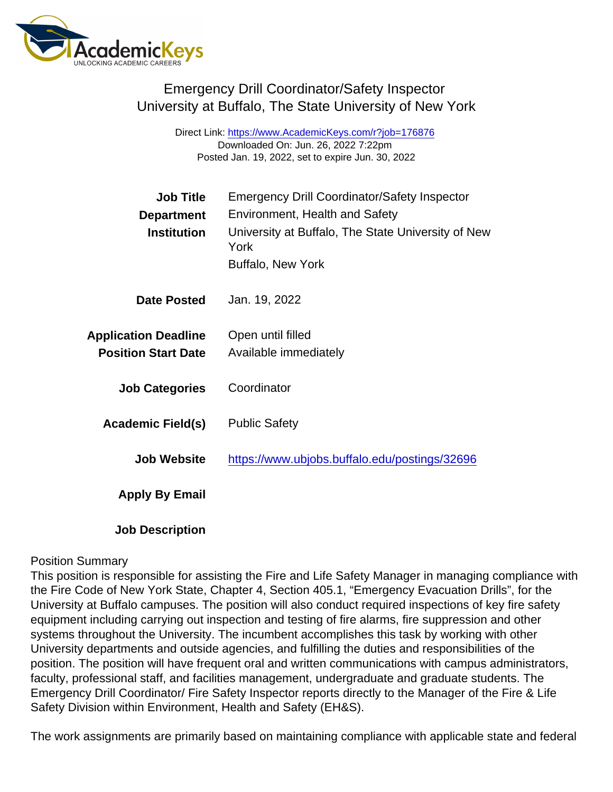# Emergency Drill Coordinator/Safety Inspector University at Buffalo, The State University of New York

Direct Link: <https://www.AcademicKeys.com/r?job=176876> Downloaded On: Jun. 26, 2022 7:22pm Posted Jan. 19, 2022, set to expire Jun. 30, 2022

| <b>Job Title</b>            | <b>Emergency Drill Coordinator/Safety Inspector</b>        |
|-----------------------------|------------------------------------------------------------|
| Department                  | <b>Environment, Health and Safety</b>                      |
| Institution                 | University at Buffalo, The State University of New<br>York |
|                             | <b>Buffalo, New York</b>                                   |
| Date Posted                 | Jan. 19, 2022                                              |
| <b>Application Deadline</b> | Open until filled                                          |
| <b>Position Start Date</b>  | Available immediately                                      |
| <b>Job Categories</b>       | Coordinator                                                |
| Academic Field(s)           | <b>Public Safety</b>                                       |
| <b>Job Website</b>          | https://www.ubjobs.buffalo.edu/postings/32696              |
| Apply By Email              |                                                            |
| <b>Job Description</b>      |                                                            |

#### Position Summary

This position is responsible for assisting the Fire and Life Safety Manager in managing compliance with the Fire Code of New York State, Chapter 4, Section 405.1, "Emergency Evacuation Drills", for the University at Buffalo campuses. The position will also conduct required inspections of key fire safety equipment including carrying out inspection and testing of fire alarms, fire suppression and other systems throughout the University. The incumbent accomplishes this task by working with other University departments and outside agencies, and fulfilling the duties and responsibilities of the position. The position will have frequent oral and written communications with campus administrators, faculty, professional staff, and facilities management, undergraduate and graduate students. The Emergency Drill Coordinator/ Fire Safety Inspector reports directly to the Manager of the Fire & Life Safety Division within Environment, Health and Safety (EH&S).

The work assignments are primarily based on maintaining compliance with applicable state and federal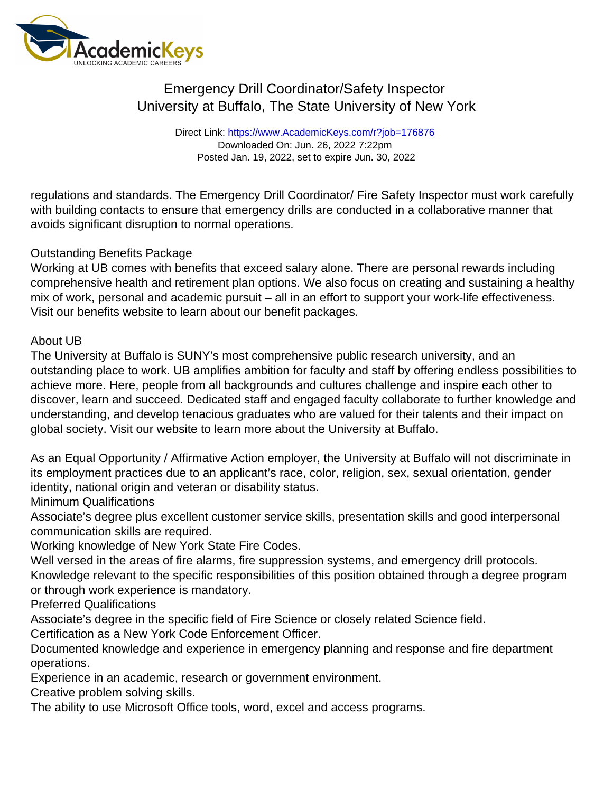# Emergency Drill Coordinator/Safety Inspector University at Buffalo, The State University of New York

Direct Link: <https://www.AcademicKeys.com/r?job=176876> Downloaded On: Jun. 26, 2022 7:22pm Posted Jan. 19, 2022, set to expire Jun. 30, 2022

regulations and standards. The Emergency Drill Coordinator/ Fire Safety Inspector must work carefully with building contacts to ensure that emergency drills are conducted in a collaborative manner that avoids significant disruption to normal operations.

### Outstanding Benefits Package

Working at UB comes with benefits that exceed salary alone. There are personal rewards including comprehensive health and retirement plan options. We also focus on creating and sustaining a healthy mix of work, personal and academic pursuit – all in an effort to support your work-life effectiveness. Visit our benefits website to learn about our benefit packages.

### About UB

The University at Buffalo is SUNY's most comprehensive public research university, and an outstanding place to work. UB amplifies ambition for faculty and staff by offering endless possibilities to achieve more. Here, people from all backgrounds and cultures challenge and inspire each other to discover, learn and succeed. Dedicated staff and engaged faculty collaborate to further knowledge and understanding, and develop tenacious graduates who are valued for their talents and their impact on global society. Visit our website to learn more about the University at Buffalo.

As an Equal Opportunity / Affirmative Action employer, the University at Buffalo will not discriminate in its employment practices due to an applicant's race, color, religion, sex, sexual orientation, gender identity, national origin and veteran or disability status.

### Minimum Qualifications

Associate's degree plus excellent customer service skills, presentation skills and good interpersonal communication skills are required.

Working knowledge of New York State Fire Codes.

Well versed in the areas of fire alarms, fire suppression systems, and emergency drill protocols. Knowledge relevant to the specific responsibilities of this position obtained through a degree program

or through work experience is mandatory.

Preferred Qualifications

Associate's degree in the specific field of Fire Science or closely related Science field.

Certification as a New York Code Enforcement Officer.

Documented knowledge and experience in emergency planning and response and fire department operations.

Experience in an academic, research or government environment.

Creative problem solving skills.

The ability to use Microsoft Office tools, word, excel and access programs.